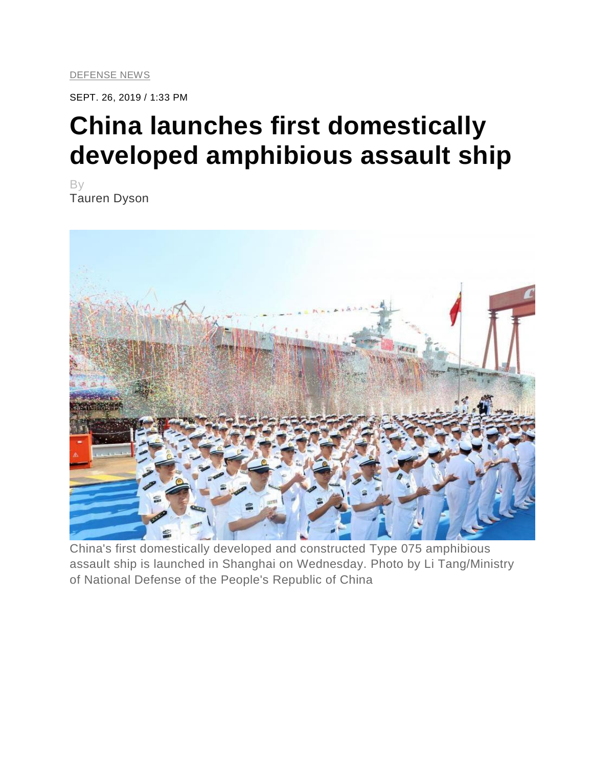SEPT. 26, 2019 / 1:33 PM

## **China launches first domestically developed amphibious assault ship**

By Tauren Dyson



China's first domestically developed and constructed Type 075 amphibious assault ship is launched in Shanghai on Wednesday. Photo by Li Tang/Ministry of National Defense of the People's Republic of China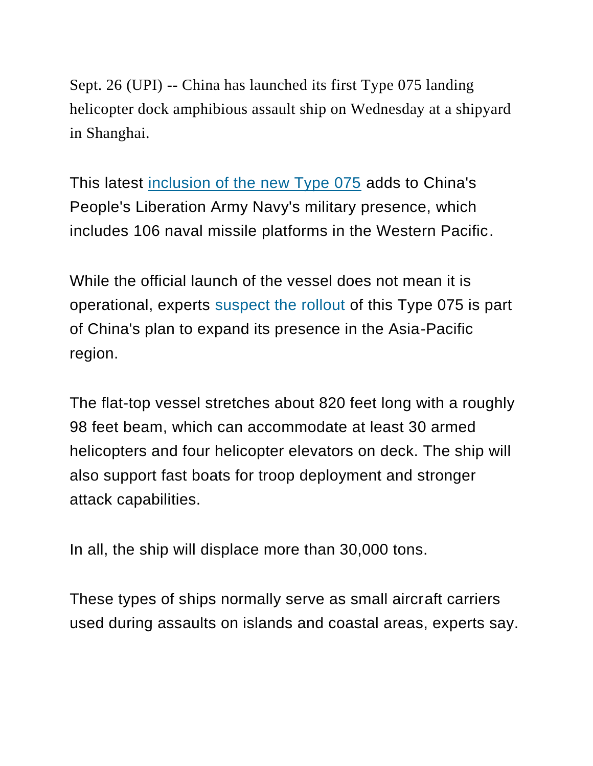Sept. 26 (UPI) -- China has launched its first Type 075 landing helicopter dock amphibious assault ship on Wednesday at a shipyard in Shanghai.

This latest [inclusion of the new Type 075](https://www.scmp.com/news/china/military/article/3030177/china-sets-date-launch-first-type-075-amphibious-helicopter) adds to China's People's Liberation Army Navy's military presence, which includes 106 naval missile platforms in the Western Pacific.

While the official launch of the vessel does not mean it is operational, experts [suspect the rollout](https://www.thedrive.com/the-war-zone/30011/china-just-launched-its-huge-and-incredibly-quickly-built-amphibious-assault-ship) of this Type 075 is part of China's plan to expand its presence in the Asia-Pacific region.

The flat-top vessel stretches about 820 feet long with a roughly 98 feet beam, which can accommodate at least 30 armed helicopters and four helicopter elevators on deck. The ship will also support fast boats for troop deployment and stronger attack capabilities.

In all, the ship will displace more than 30,000 tons.

These types of ships normally serve as small aircraft carriers used during assaults on islands and coastal areas, experts say.